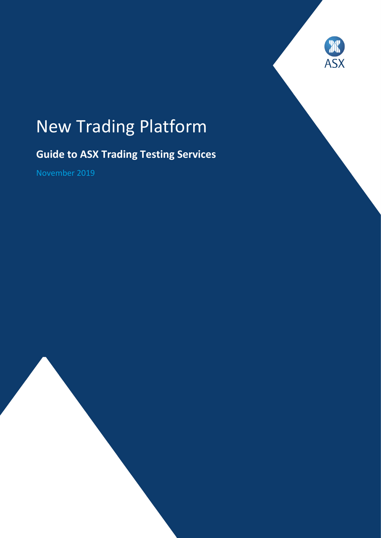

# New Trading Platform

# **Guide to ASX Trading Testing Services**

November 2019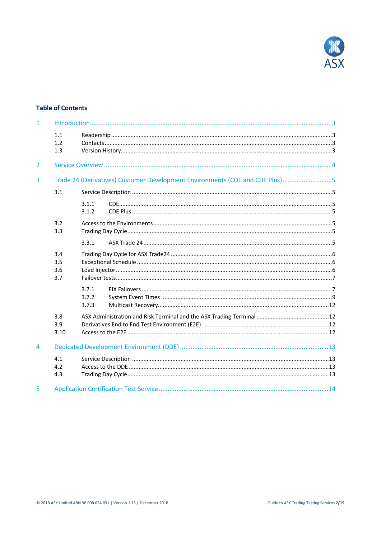

# **Table of Contents**

| $\mathbf{1}$   |                          |                                                                              |  |  |
|----------------|--------------------------|------------------------------------------------------------------------------|--|--|
|                | 1.1<br>1.2<br>1.3        |                                                                              |  |  |
| $\overline{2}$ |                          |                                                                              |  |  |
| $\overline{3}$ |                          | Trade 24 (Derivatives) Customer Development Environments (CDE and CDE Plus)5 |  |  |
|                | 3.1                      |                                                                              |  |  |
|                |                          | 3.1.1<br>3.1.2                                                               |  |  |
|                | 3.2<br>3.3               |                                                                              |  |  |
|                |                          | 3.3.1                                                                        |  |  |
|                | 3.4<br>3.5<br>3.6<br>3.7 |                                                                              |  |  |
|                |                          | 3.7.1<br>3.7.2<br>3.7.3                                                      |  |  |
|                | 3.8<br>3.9<br>3.10       |                                                                              |  |  |
| $\overline{4}$ |                          |                                                                              |  |  |
|                | 4.1<br>4.2<br>4.3        |                                                                              |  |  |
| 5              |                          |                                                                              |  |  |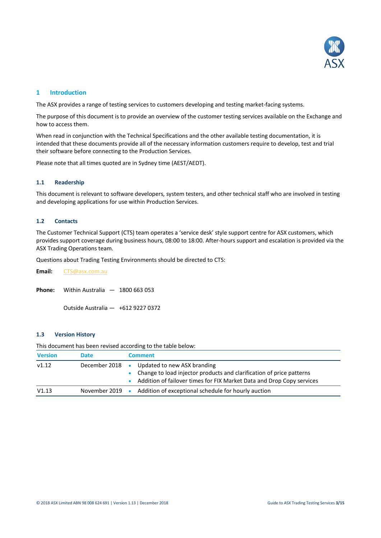

# <span id="page-2-0"></span>**1 Introduction**

The ASX provides a range of testing services to customers developing and testing market-facing systems.

The purpose of this document is to provide an overview of the customer testing services available on the Exchange and how to access them.

When read in conjunction with the Technical Specifications and the other available testing documentation, it is intended that these documents provide all of the necessary information customers require to develop, test and trial their software before connecting to the Production Services.

<span id="page-2-1"></span>Please note that all times quoted are in Sydney time (AEST/AEDT).

#### **1.1 Readership**

This document is relevant to software developers, system testers, and other technical staff who are involved in testing and developing applications for use within Production Services.

# <span id="page-2-2"></span>**1.2 Contacts**

The Customer Technical Support (CTS) team operates a 'service desk' style support centre for ASX customers, which provides support coverage during business hours, 08:00 to 18:00. After-hours support and escalation is provided via the ASX Trading Operations team.

Questions about Trading Testing Environments should be directed to CTS:

**Email:** [CTS@asx.com.au](mailto:CTS@asx.com.au)

**Phone:** Within Australia — 1800 663 053

Outside Australia — +612 9227 0372

# <span id="page-2-3"></span>**1.3 Version History**

This document has been revised according to the table below:

| <b>Version</b> | <b>Date</b>             |           | <b>Comment</b>                                                                                                                                                               |
|----------------|-------------------------|-----------|------------------------------------------------------------------------------------------------------------------------------------------------------------------------------|
| V1.12          | December 2018           | $\bullet$ | Updated to new ASX branding<br>Change to load injector products and clarification of price patterns<br>Addition of failover times for FIX Market Data and Drop Copy services |
| V1.13          | November 2019 $\bullet$ |           | Addition of exceptional schedule for hourly auction                                                                                                                          |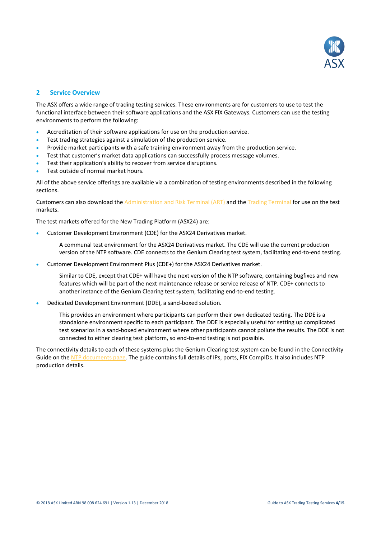

# <span id="page-3-0"></span>**2 Service Overview**

The ASX offers a wide range of trading testing services. These environments are for customers to use to test the functional interface between their software applications and the ASX FIX Gateways. Customers can use the testing environments to perform the following:

- Accreditation of their software applications for use on the production service.
- Test trading strategies against a simulation of the production service.
- Provide market participants with a safe training environment away from the production service.
- Test that customer's market data applications can successfully process message volumes.
- Test their application's ability to recover from service disruptions.
- Test outside of normal market hours.

All of the above service offerings are available via a combination of testing environments described in the following sections.

Customers can also download th[e Administration and Risk Terminal \(ART\)](http://www.asx.com.au/documents/products/asx-admin-and-risk-terminal-user-guide.pdf) and the [Trading Terminal](http://www.asx.com.au/documents/trading_services/asx_trading_terminal_user_guide_v0.2.pdf) for use on the test markets.

The test markets offered for the New Trading Platform (ASX24) are:

• Customer Development Environment (CDE) for the ASX24 Derivatives market.

A communal test environment for the ASX24 Derivatives market. The CDE will use the current production version of the NTP software. CDE connects to the Genium Clearing test system, facilitating end-to-end testing.

• Customer Development Environment Plus (CDE+) for the ASX24 Derivatives market.

Similar to CDE, except that CDE+ will have the next version of the NTP software, containing bugfixes and new features which will be part of the next maintenance release or service release of NTP. CDE+ connects to another instance of the Genium Clearing test system, facilitating end-to-end testing.

• Dedicated Development Environment (DDE), a sand-boxed solution.

This provides an environment where participants can perform their own dedicated testing. The DDE is a standalone environment specific to each participant. The DDE is especially useful for setting up complicated test scenarios in a sand-boxed environment where other participants cannot pollute the results. The DDE is not connected to either clearing test platform, so end-to-end testing is not possible.

The connectivity details to each of these systems plus the Genium Clearing test system can be found in the Connectivity Guide on the [NTP documents page.](http://www.asx.com.au/services/ntp/document-library.htm) The guide contains full details of IPs, ports, FIX CompIDs. It also includes NTP production details.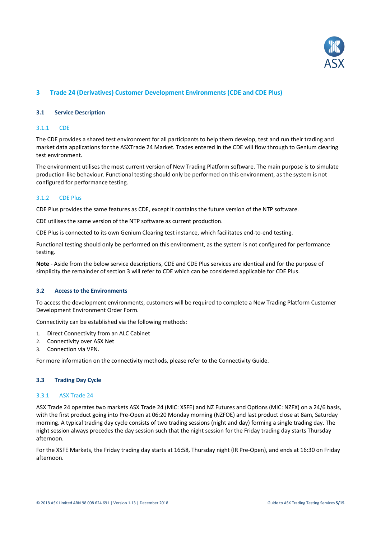

# <span id="page-4-1"></span><span id="page-4-0"></span>**3 Trade 24 (Derivatives) Customer Development Environments (CDE and CDE Plus)**

#### **3.1 Service Description**

#### <span id="page-4-2"></span>3.1.1 CDE

The CDE provides a shared test environment for all participants to help them develop, test and run their trading and market data applications for the ASXTrade 24 Market. Trades entered in the CDE will flow through to Genium clearing test environment.

The environment utilises the most current version of New Trading Platform software. The main purpose is to simulate production-like behaviour. Functional testing should only be performed on this environment, as the system is not configured for performance testing.

#### <span id="page-4-3"></span>3.1.2 CDE Plus

CDE Plus provides the same features as CDE, except it contains the future version of the NTP software.

CDE utilises the same version of the NTP software as current production.

CDE Plus is connected to its own Genium Clearing test instance, which facilitates end-to-end testing.

Functional testing should only be performed on this environment, as the system is not configured for performance testing.

**Note** - Aside from the below service descriptions, CDE and CDE Plus services are identical and for the purpose of simplicity the remainder of section 3 will refer to CDE which can be considered applicable for CDE Plus.

# <span id="page-4-4"></span>**3.2 Access to the Environments**

To access the development environments, customers will be required to complete a New Trading Platform Customer Development Environment Order Form.

Connectivity can be established via the following methods:

- 1. Direct Connectivity from an ALC Cabinet
- 2. Connectivity over ASX Net
- 3. Connection via VPN.

<span id="page-4-5"></span>For more information on the connectivity methods, please refer to the Connectivity Guide.

# **3.3 Trading Day Cycle**

#### <span id="page-4-6"></span>3.3.1 ASX Trade 24

ASX Trade 24 operates two markets ASX Trade 24 (MIC: XSFE) and NZ Futures and Options (MIC: NZFX) on a 24/6 basis, with the first product going into Pre-Open at 06:20 Monday morning (NZFOE) and last product close at 8am, Saturday morning. A typical trading day cycle consists of two trading sessions (night and day) forming a single trading day. The night session always precedes the day session such that the night session for the Friday trading day starts Thursday afternoon.

For the XSFE Markets, the Friday trading day starts at 16:58, Thursday night (IR Pre-Open), and ends at 16:30 on Friday afternoon.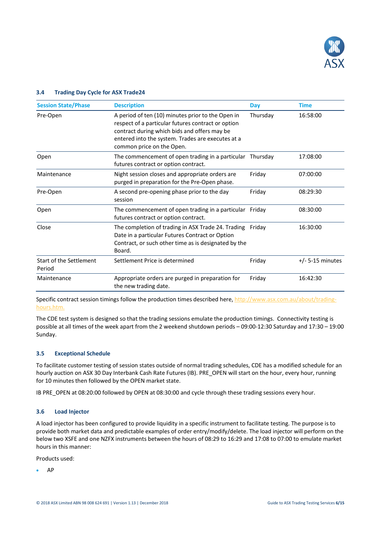

| <b>Session State/Phase</b>               | <b>Description</b>                                                                                                                                                                                                                        | Day      | <b>Time</b>        |
|------------------------------------------|-------------------------------------------------------------------------------------------------------------------------------------------------------------------------------------------------------------------------------------------|----------|--------------------|
| Pre-Open                                 | A period of ten (10) minutes prior to the Open in<br>respect of a particular futures contract or option<br>contract during which bids and offers may be<br>entered into the system. Trades are executes at a<br>common price on the Open. | Thursday | 16:58:00           |
| Open                                     | The commencement of open trading in a particular Thursday<br>futures contract or option contract.                                                                                                                                         |          | 17:08:00           |
| Maintenance                              | Night session closes and appropriate orders are<br>purged in preparation for the Pre-Open phase.                                                                                                                                          | Friday   | 07:00:00           |
| Pre-Open                                 | A second pre-opening phase prior to the day<br>session                                                                                                                                                                                    | Friday   | 08:29:30           |
| Open                                     | The commencement of open trading in a particular<br>futures contract or option contract.                                                                                                                                                  | Fridav   | 08:30:00           |
| Close                                    | The completion of trading in ASX Trade 24. Trading<br>Date in a particular Futures Contract or Option<br>Contract, or such other time as is designated by the<br>Board.                                                                   | Friday   | 16:30:00           |
| <b>Start of the Settlement</b><br>Period | Settlement Price is determined                                                                                                                                                                                                            | Friday   | $+/- 5-15$ minutes |
| Maintenance                              | Appropriate orders are purged in preparation for<br>the new trading date.                                                                                                                                                                 | Friday   | 16:42:30           |

# <span id="page-5-0"></span>**3.4 Trading Day Cycle for ASX Trade24**

Specific contract session timings follow the production times described here, [http://www.asx.com.au/about/trading](http://www.asx.com.au/about/trading-hours.htm)[hours.htm.](http://www.asx.com.au/about/trading-hours.htm)

The CDE test system is designed so that the trading sessions emulate the production timings. Connectivity testing is possible at all times of the week apart from the 2 weekend shutdown periods – 09:00-12:30 Saturday and 17:30 – 19:00 Sunday.

# <span id="page-5-1"></span>**3.5 Exceptional Schedule**

To facilitate customer testing of session states outside of normal trading schedules, CDE has a modified schedule for an hourly auction on ASX 30 Day Interbank Cash Rate Futures (IB). PRE\_OPEN will start on the hour, every hour, running for 10 minutes then followed by the OPEN market state.

<span id="page-5-2"></span>IB PRE\_OPEN at 08:20:00 followed by OPEN at 08:30:00 and cycle through these trading sessions every hour.

# **3.6 Load Injector**

A load injector has been configured to provide liquidity in a specific instrument to facilitate testing. The purpose is to provide both market data and predictable examples of order entry/modify/delete. The load injector will perform on the below two XSFE and one NZFX instruments between the hours of 08:29 to 16:29 and 17:08 to 07:00 to emulate market hours in this manner:

Products used:

• AP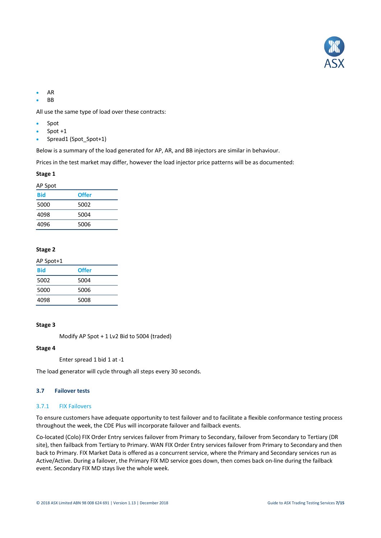

- AR
- BB

All use the same type of load over these contracts:

- Spot
- Spot  $+1$
- Spread1 (Spot Spot+1)

Below is a summary of the load generated for AP, AR, and BB injectors are similar in behaviour.

Prices in the test market may differ, however the load injector price patterns will be as documented:

#### **Stage 1**

| AP Spot |              |
|---------|--------------|
| Bid     | <b>Offer</b> |
| 5000    | 5002         |
| 4098    | 5004         |
| 4096    | 5006         |

# **Stage 2**

| AP Spot+1 |              |
|-----------|--------------|
| Bid       | <b>Offer</b> |
| 5002      | 5004         |
| 5000      | 5006         |
| 4098      | 5008         |

# **Stage 3**

Modify AP Spot + 1 Lv2 Bid to 5004 (traded)

# **Stage 4**

Enter spread 1 bid 1 at -1

<span id="page-6-0"></span>The load generator will cycle through all steps every 30 seconds.

#### **3.7 Failover tests**

#### <span id="page-6-1"></span>3.7.1 FIX Failovers

To ensure customers have adequate opportunity to test failover and to facilitate a flexible conformance testing process throughout the week, the CDE Plus will incorporate failover and failback events.

Co-located (Colo) FIX Order Entry services failover from Primary to Secondary, failover from Secondary to Tertiary (DR site), then failback from Tertiary to Primary. WAN FIX Order Entry services failover from Primary to Secondary and then back to Primary. FIX Market Data is offered as a concurrent service, where the Primary and Secondary services run as Active/Active. During a failover, the Primary FIX MD service goes down, then comes back on-line during the failback event. Secondary FIX MD stays live the whole week.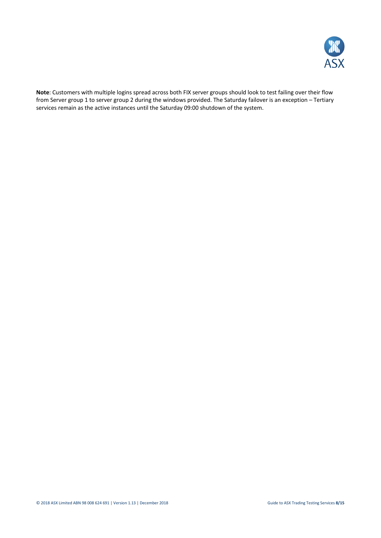

**Note**: Customers with multiple logins spread across both FIX server groups should look to test failing over their flow from Server group 1 to server group 2 during the windows provided. The Saturday failover is an exception – Tertiary services remain as the active instances until the Saturday 09:00 shutdown of the system.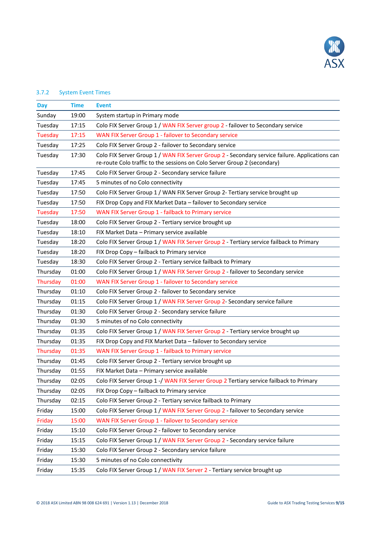

# <span id="page-8-0"></span>3.7.2 System Event Times

| Day            | <b>Time</b> | <b>Event</b>                                                                                                                                                               |
|----------------|-------------|----------------------------------------------------------------------------------------------------------------------------------------------------------------------------|
| Sunday         | 19:00       | System startup in Primary mode                                                                                                                                             |
| Tuesday        | 17:15       | Colo FIX Server Group 1 / WAN FIX Server group 2 - failover to Secondary service                                                                                           |
| <b>Tuesday</b> | 17:15       | WAN FIX Server Group 1 - failover to Secondary service                                                                                                                     |
| Tuesday        | 17:25       | Colo FIX Server Group 2 - failover to Secondary service                                                                                                                    |
| Tuesday        | 17:30       | Colo FIX Server Group 1 / WAN FIX Server Group 2 - Secondary service failure. Applications can<br>re-route Colo traffic to the sessions on Colo Server Group 2 (secondary) |
| Tuesday        | 17:45       | Colo FIX Server Group 2 - Secondary service failure                                                                                                                        |
| Tuesday        | 17:45       | 5 minutes of no Colo connectivity                                                                                                                                          |
| Tuesday        | 17:50       | Colo FIX Server Group 1 / WAN FIX Server Group 2- Tertiary service brought up                                                                                              |
| Tuesday        | 17:50       | FIX Drop Copy and FIX Market Data - failover to Secondary service                                                                                                          |
| <b>Tuesday</b> | 17:50       | WAN FIX Server Group 1 - failback to Primary service                                                                                                                       |
| Tuesday        | 18:00       | Colo FIX Server Group 2 - Tertiary service brought up                                                                                                                      |
| Tuesday        | 18:10       | FIX Market Data - Primary service available                                                                                                                                |
| Tuesday        | 18:20       | Colo FIX Server Group 1 / WAN FIX Server Group 2 - Tertiary service failback to Primary                                                                                    |
| Tuesday        | 18:20       | FIX Drop Copy - failback to Primary service                                                                                                                                |
| Tuesday        | 18:30       | Colo FIX Server Group 2 - Tertiary service failback to Primary                                                                                                             |
| Thursday       | 01:00       | Colo FIX Server Group 1 / WAN FIX Server Group 2 - failover to Secondary service                                                                                           |
| Thursday       | 01:00       | WAN FIX Server Group 1 - failover to Secondary service                                                                                                                     |
| Thursday       | 01:10       | Colo FIX Server Group 2 - failover to Secondary service                                                                                                                    |
| Thursday       | 01:15       | Colo FIX Server Group 1 / WAN FIX Server Group 2- Secondary service failure                                                                                                |
| Thursday       | 01:30       | Colo FIX Server Group 2 - Secondary service failure                                                                                                                        |
| Thursday       | 01:30       | 5 minutes of no Colo connectivity                                                                                                                                          |
| Thursday       | 01:35       | Colo FIX Server Group 1 / WAN FIX Server Group 2 - Tertiary service brought up                                                                                             |
| Thursday       | 01:35       | FIX Drop Copy and FIX Market Data - failover to Secondary service                                                                                                          |
| Thursday       | 01:35       | WAN FIX Server Group 1 - failback to Primary service                                                                                                                       |
| Thursday       | 01:45       | Colo FIX Server Group 2 - Tertiary service brought up                                                                                                                      |
| Thursday       | 01:55       | FIX Market Data - Primary service available                                                                                                                                |
| Thursday       | 02:05       | Colo FIX Server Group 1 -/ WAN FIX Server Group 2 Tertiary service failback to Primary                                                                                     |
| Thursday       | 02:05       | FIX Drop Copy - failback to Primary service                                                                                                                                |
| Thursday       | 02:15       | Colo FIX Server Group 2 - Tertiary service failback to Primary                                                                                                             |
| Friday         | 15:00       | Colo FIX Server Group 1 / WAN FIX Server Group 2 - failover to Secondary service                                                                                           |
| Friday         | 15:00       | WAN FIX Server Group 1 - failover to Secondary service                                                                                                                     |
| Friday         | 15:10       | Colo FIX Server Group 2 - failover to Secondary service                                                                                                                    |
| Friday         | 15:15       | Colo FIX Server Group 1 / WAN FIX Server Group 2 - Secondary service failure                                                                                               |
| Friday         | 15:30       | Colo FIX Server Group 2 - Secondary service failure                                                                                                                        |
| Friday         | 15:30       | 5 minutes of no Colo connectivity                                                                                                                                          |
| Friday         | 15:35       | Colo FIX Server Group 1 / WAN FIX Server 2 - Tertiary service brought up                                                                                                   |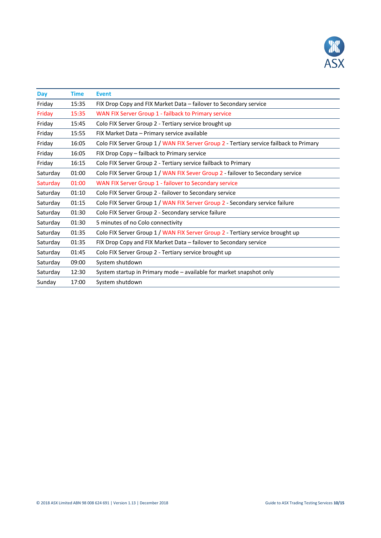

| <b>Day</b> | <b>Time</b> | <b>Event</b>                                                                            |
|------------|-------------|-----------------------------------------------------------------------------------------|
| Friday     | 15:35       | FIX Drop Copy and FIX Market Data – failover to Secondary service                       |
| Friday     | 15:35       | WAN FIX Server Group 1 - failback to Primary service                                    |
| Friday     | 15:45       | Colo FIX Server Group 2 - Tertiary service brought up                                   |
| Friday     | 15:55       | FIX Market Data - Primary service available                                             |
| Friday     | 16:05       | Colo FIX Server Group 1 / WAN FIX Server Group 2 - Tertiary service failback to Primary |
| Friday     | 16:05       | FIX Drop Copy - failback to Primary service                                             |
| Friday     | 16:15       | Colo FIX Server Group 2 - Tertiary service failback to Primary                          |
| Saturday   | 01:00       | Colo FIX Server Group 1 / WAN FIX Sever Group 2 - failover to Secondary service         |
| Saturday   | 01:00       | WAN FIX Server Group 1 - failover to Secondary service                                  |
| Saturday   | 01:10       | Colo FIX Server Group 2 - failover to Secondary service                                 |
| Saturday   | 01:15       | Colo FIX Server Group 1 / WAN FIX Server Group 2 - Secondary service failure            |
| Saturday   | 01:30       | Colo FIX Server Group 2 - Secondary service failure                                     |
| Saturday   | 01:30       | 5 minutes of no Colo connectivity                                                       |
| Saturday   | 01:35       | Colo FIX Server Group 1 / WAN FIX Server Group 2 - Tertiary service brought up          |
| Saturday   | 01:35       | FIX Drop Copy and FIX Market Data – failover to Secondary service                       |
| Saturday   | 01:45       | Colo FIX Server Group 2 - Tertiary service brought up                                   |
| Saturday   | 09:00       | System shutdown                                                                         |
| Saturday   | 12:30       | System startup in Primary mode - available for market snapshot only                     |
| Sunday     | 17:00       | System shutdown                                                                         |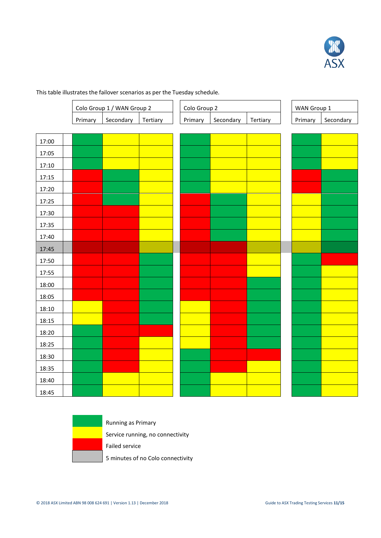

This table illustrates the failover scenarios as per the Tuesday schedule.

|       |         | Colo Group 1 / WAN Group 2 |          |
|-------|---------|----------------------------|----------|
|       | Primary | Secondary                  | Tertiary |
|       |         |                            |          |
| 17:00 |         |                            |          |
| 17:05 |         |                            |          |
| 17:10 |         |                            |          |
| 17:15 |         |                            |          |
| 17:20 |         |                            |          |
| 17:25 |         |                            |          |
| 17:30 |         |                            |          |
| 17:35 |         |                            |          |
| 17:40 |         |                            |          |
| 17:45 |         |                            |          |
| 17:50 |         |                            |          |
| 17:55 |         |                            |          |
| 18:00 |         |                            |          |
| 18:05 |         |                            |          |
| 18:10 |         |                            |          |
| 18:15 |         |                            |          |
| 18:20 |         |                            |          |
| 18:25 |         |                            |          |
| 18:30 |         |                            |          |
| 18:35 |         |                            |          |
| 18:40 |         |                            |          |
| 18:45 |         |                            |          |



Running as Primary Service running, no connectivity Failed service

5 minutes of no Colo connectivity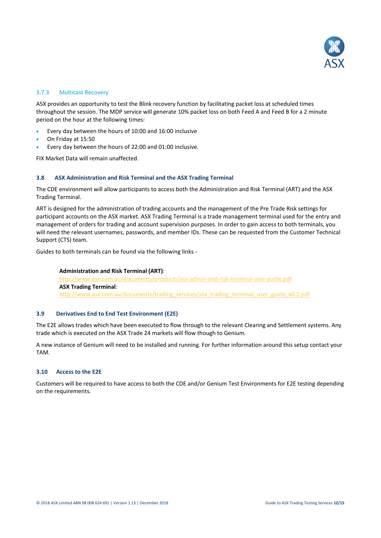

# <span id="page-11-0"></span>3.7.3 Multicast Recovery

ASX provides an opportunity to test the Blink recovery function by facilitating packet loss at scheduled times throughout the session. The MDP service will generate 10% packet loss on both Feed A and Feed B for a 2 minute period on the hour at the following times:

- Every day between the hours of 10:00 and 16:00 inclusive
- On Friday at 15:50
- Every day between the hours of 22:00 and 01:00 inclusive.

<span id="page-11-1"></span>FIX Market Data will remain unaffected.

# **3.8 ASX Administration and Risk Terminal and the ASX Trading Terminal**

The CDE environment will allow participants to access both the Administration and Risk Terminal (ART) and the ASX Trading Terminal.

ART is designed for the administration of trading accounts and the management of the Pre Trade Risk settings for participant accounts on the ASX market. ASX Trading Terminal is a trade management terminal used for the entry and management of orders for trading and account supervision purposes. In order to gain access to both terminals, you will need the relevant usernames, passwords, and member IDs. These can be requested from the Customer Technical Support (CTS) team.

Guides to both terminals can be found via the following links -

**Administration and Risk Terminal (ART)**: http://www.asx.com.au/documents/products/asx-admin-and-risk-terminal-user-guide.pdf **ASX Trading Terminal**: http://www.asx.com.au/documents/trading\_services/asx\_trading\_terminal\_user\_guide\_v0.2.pdf

# <span id="page-11-2"></span>**3.9 Derivatives End to End Test Environment (E2E)**

The E2E allows trades which have been executed to flow through to the relevant Clearing and Settlement systems. Any trade which is executed on the ASX Trade 24 markets will flow though to Genium.

A new instance of Genium will need to be installed and running. For further information around this setup contact your TAM.

#### <span id="page-11-3"></span>**3.10 Access to the E2E**

Customers will be required to have access to both the CDE and/or Genium Test Environments for E2E testing depending on the requirements.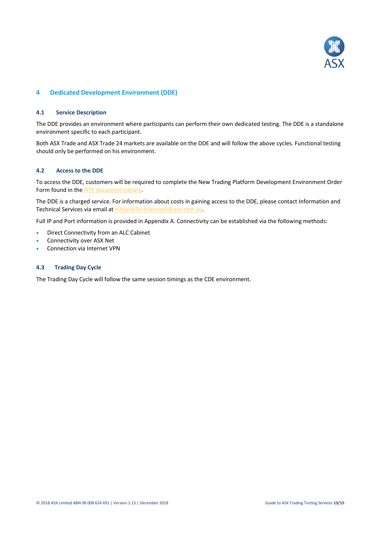

# <span id="page-12-1"></span><span id="page-12-0"></span>**4 Dedicated Development Environment (DDE)**

#### **4.1 Service Description**

The DDE provides an environment where participants can perform their own dedicated testing. The DDE is a standalone environment specific to each participant.

Both ASX Trade and ASX Trade 24 markets are available on the DDE and will follow the above cycles. Functional testing should only be performed on his environment.

#### <span id="page-12-2"></span>**4.2 Access to the DDE**

To access the DDE, customers will be required to complete the New Trading Platform Development Environment Order Form found in th[e NTP document Library.](http://www.asx.com.au/services/ntp/document-library.htm)

The DDE is a charged service. For information about costs in gaining access to the DDE, please contact Information and Technical Services via email a[t InfoandTechServices@asx.com.au.](mailto:InfoandTechServices@asx.com.au)

Full IP and Port information is provided in Appendix A. Connectivity can be established via the following methods:

- Direct Connectivity from an ALC Cabinet
- Connectivity over ASX Net
- <span id="page-12-3"></span>Connection via Internet VPN

#### **4.3 Trading Day Cycle**

The Trading Day Cycle will follow the same session timings as the CDE environment.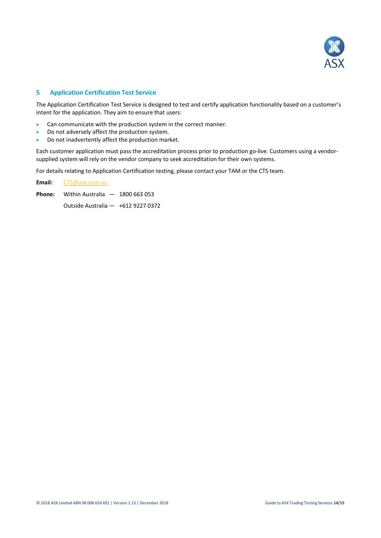

# <span id="page-13-0"></span>**5 Application Certification Test Service**

The Application Certification Test Service is designed to test and certify application functionality based on a customer's intent for the application. They aim to ensure that users:

- Can communicate with the production system in the correct manner.
- Do not adversely affect the production system.
- Do not inadvertently affect the production market.

Each customer application must pass the accreditation process prior to production go-live. Customers using a vendorsupplied system will rely on the vendor company to seek accreditation for their own systems.

For details relating to Application Certification testing, please contact your TAM or the CTS team.

**Email:** [CTS@asx.com.au](mailto:CTS@asx.com.au)

Phone: Within Australia - 1800 663 053

Outside Australia — +612 9227 0372